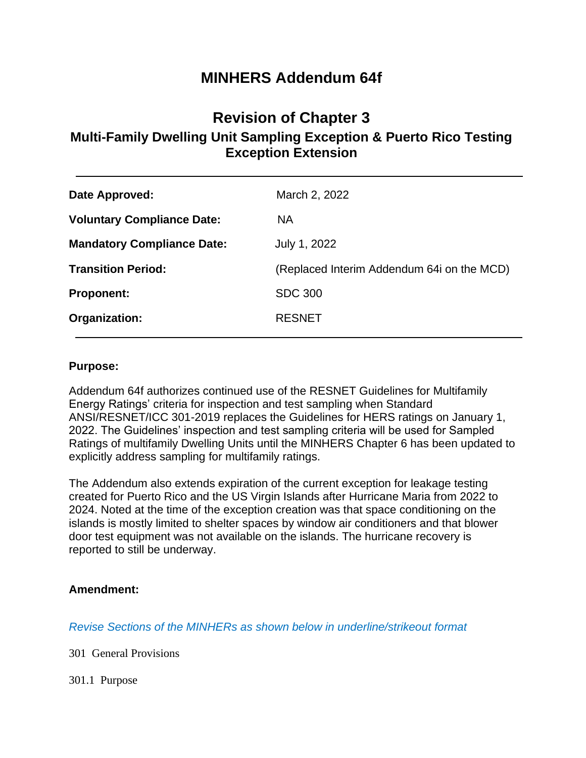# **MINHERS Addendum 64f**

# **Revision of Chapter 3 Multi-Family Dwelling Unit Sampling Exception & Puerto Rico Testing Exception Extension**

| <b>Voluntary Compliance Date:</b><br><b>NA</b>                          |
|-------------------------------------------------------------------------|
| <b>Mandatory Compliance Date:</b><br>July 1, 2022                       |
| <b>Transition Period:</b><br>(Replaced Interim Addendum 64i on the MCD) |
| <b>SDC 300</b><br><b>Proponent:</b>                                     |
| Organization:<br><b>RESNET</b>                                          |

### **Purpose:**

Addendum 64f authorizes continued use of the RESNET Guidelines for Multifamily Energy Ratings' criteria for inspection and test sampling when Standard ANSI/RESNET/ICC 301-2019 replaces the Guidelines for HERS ratings on January 1, 2022. The Guidelines' inspection and test sampling criteria will be used for Sampled Ratings of multifamily Dwelling Units until the MINHERS Chapter 6 has been updated to explicitly address sampling for multifamily ratings.

The Addendum also extends expiration of the current exception for leakage testing created for Puerto Rico and the US Virgin Islands after Hurricane Maria from 2022 to 2024. Noted at the time of the exception creation was that space conditioning on the islands is mostly limited to shelter spaces by window air conditioners and that blower door test equipment was not available on the islands. The hurricane recovery is reported to still be underway.

### **Amendment:**

*Revise Sections of the MINHERs as shown below in underline/strikeout format*

301 General Provisions

301.1 Purpose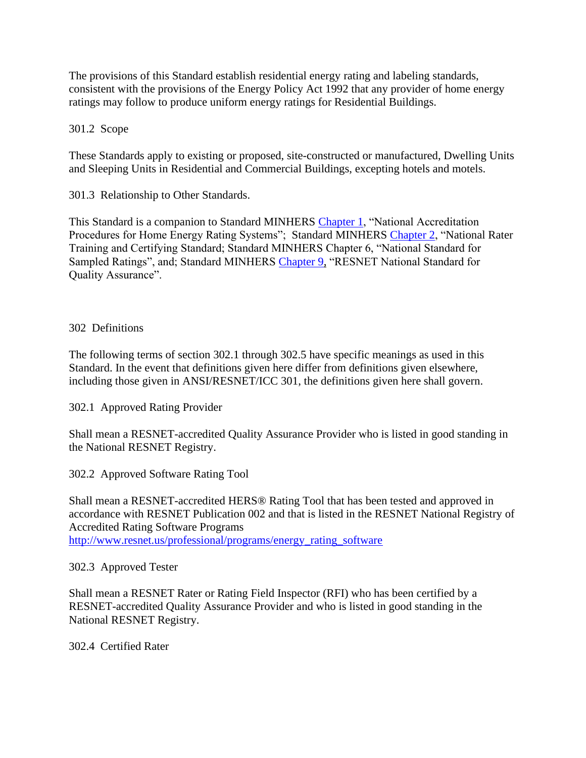The provisions of this Standard establish residential energy rating and labeling standards, consistent with the provisions of the Energy Policy Act 1992 that any provider of home energy ratings may follow to produce uniform energy ratings for Residential Buildings.

301.2 Scope

These Standards apply to existing or proposed, site-constructed or manufactured, Dwelling Units and Sleeping Units in Residential and Commercial Buildings, excepting hotels and motels.

301.3 Relationship to Other Standards.

This Standard is a companion to Standard MINHERS Chapter 1, "National Accreditation Procedures for Home Energy Rating Systems"; Standard MINHERS Chapter 2, "National Rater Training and Certifying Standard; Standard MINHERS Chapter 6, "National Standard for Sampled Ratings", and; Standard MINHERS Chapter 9, "RESNET National Standard for Quality Assurance".

### 302 Definitions

The following terms of section 302.1 through 302.5 have specific meanings as used in this Standard. In the event that definitions given here differ from definitions given elsewhere, including those given in ANSI/RESNET/ICC 301, the definitions given here shall govern.

302.1 Approved Rating Provider

Shall mean a RESNET-accredited Quality Assurance Provider who is listed in good standing in the National RESNET Registry.

302.2 Approved Software Rating Tool

Shall mean a RESNET-accredited HERS® Rating Tool that has been tested and approved in accordance with RESNET Publication 002 and that is listed in the RESNET National Registry of Accredited Rating Software Programs http://www.resnet.us/professional/programs/energy\_rating\_software

302.3 Approved Tester

Shall mean a RESNET Rater or Rating Field Inspector (RFI) who has been certified by a RESNET-accredited Quality Assurance Provider and who is listed in good standing in the National RESNET Registry.

302.4 Certified Rater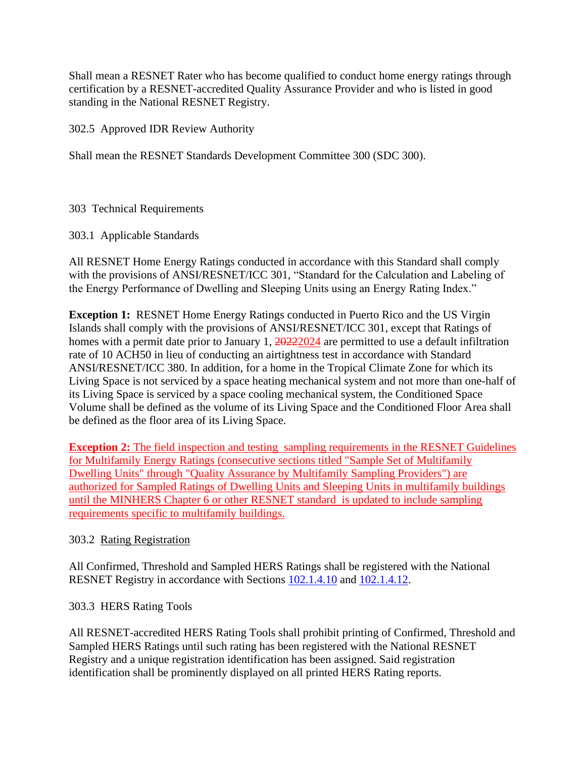Shall mean a RESNET Rater who has become qualified to conduct home energy ratings through certification by a RESNET-accredited Quality Assurance Provider and who is listed in good standing in the National RESNET Registry.

302.5 Approved IDR Review Authority

Shall mean the RESNET Standards Development Committee 300 (SDC 300).

303 Technical Requirements

303.1 Applicable Standards

All RESNET Home Energy Ratings conducted in accordance with this Standard shall comply with the provisions of ANSI/RESNET/ICC 301, "Standard for the Calculation and Labeling of the Energy Performance of Dwelling and Sleeping Units using an Energy Rating Index."

**Exception 1:** RESNET Home Energy Ratings conducted in Puerto Rico and the US Virgin Islands shall comply with the provisions of ANSI/RESNET/ICC 301, except that Ratings of homes with a permit date prior to January 1,  $\frac{20222024}{a}$  are permitted to use a default infiltration rate of 10 ACH50 in lieu of conducting an airtightness test in accordance with Standard ANSI/RESNET/ICC 380. In addition, for a home in the Tropical Climate Zone for which its Living Space is not serviced by a space heating mechanical system and not more than one-half of its Living Space is serviced by a space cooling mechanical system, the Conditioned Space Volume shall be defined as the volume of its Living Space and the Conditioned Floor Area shall be defined as the floor area of its Living Space.

**Exception 2:** The field inspection and testing sampling requirements in the RESNET Guidelines for Multifamily Energy Ratings (consecutive sections titled "Sample Set of Multifamily Dwelling Units" through "Quality Assurance by Multifamily Sampling Providers") are authorized for Sampled Ratings of Dwelling Units and Sleeping Units in multifamily buildings until the MINHERS Chapter 6 or other RESNET standard is updated to include sampling requirements specific to multifamily buildings.

## 303.2 Rating Registration

All Confirmed, Threshold and Sampled HERS Ratings shall be registered with the National RESNET Registry in accordance with Sections 102.1.4.10 and 102.1.4.12.

## 303.3 HERS Rating Tools

All RESNET-accredited HERS Rating Tools shall prohibit printing of Confirmed, Threshold and Sampled HERS Ratings until such rating has been registered with the National RESNET Registry and a unique registration identification has been assigned. Said registration identification shall be prominently displayed on all printed HERS Rating reports.